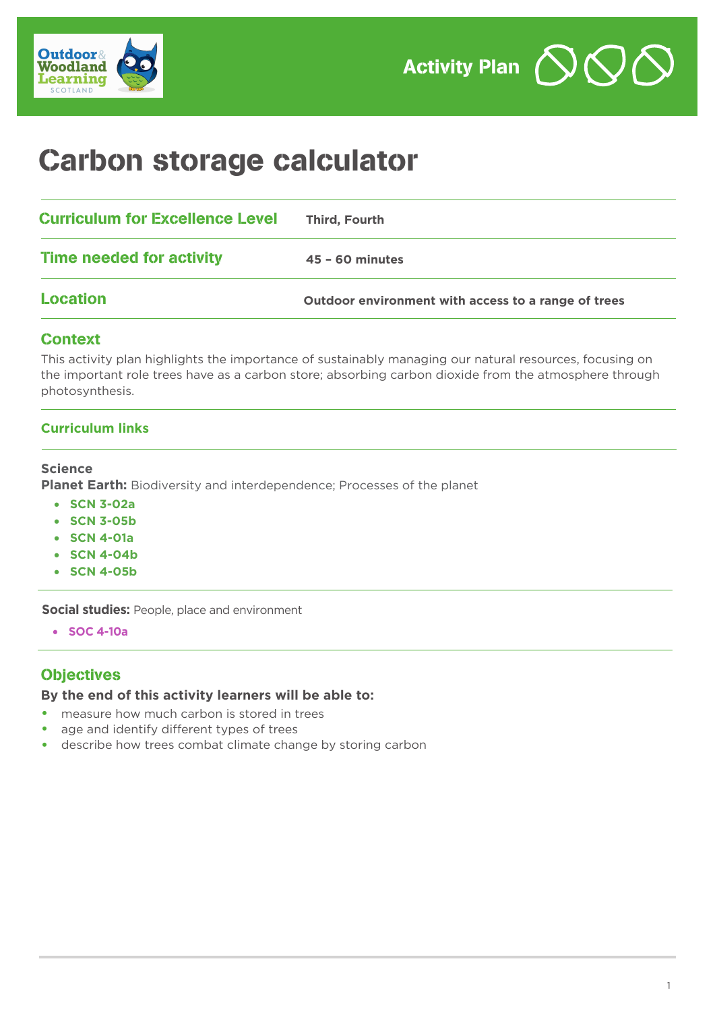

# Carbon storage calculator

| <b>Curriculum for Excellence Level</b> | Third, Fourth                                       |
|----------------------------------------|-----------------------------------------------------|
| Time needed for activity               | $45 - 60$ minutes                                   |
| Location                               | Outdoor environment with access to a range of trees |

## Context

This activity plan highlights the importance of sustainably managing our natural resources, focusing on the important role trees have as a carbon store; absorbing carbon dioxide from the atmosphere through photosynthesis.

## **Curriculum links**

#### **Science**

**Planet Earth:** Biodiversity and interdependence; Processes of the planet

- **SCN 3-02a**
- **SCN 3-05b**
- **SCN 4-01a**
- **SCN 4-04b**
- **SCN 4-05b**

**Social studies:** People, place and environment

• **SOC 4-10a**

# **Objectives**

## **By the end of this activity learners will be able to:**

- measure how much carbon is stored in trees
- age and identify different types of trees
- describe how trees combat climate change by storing carbon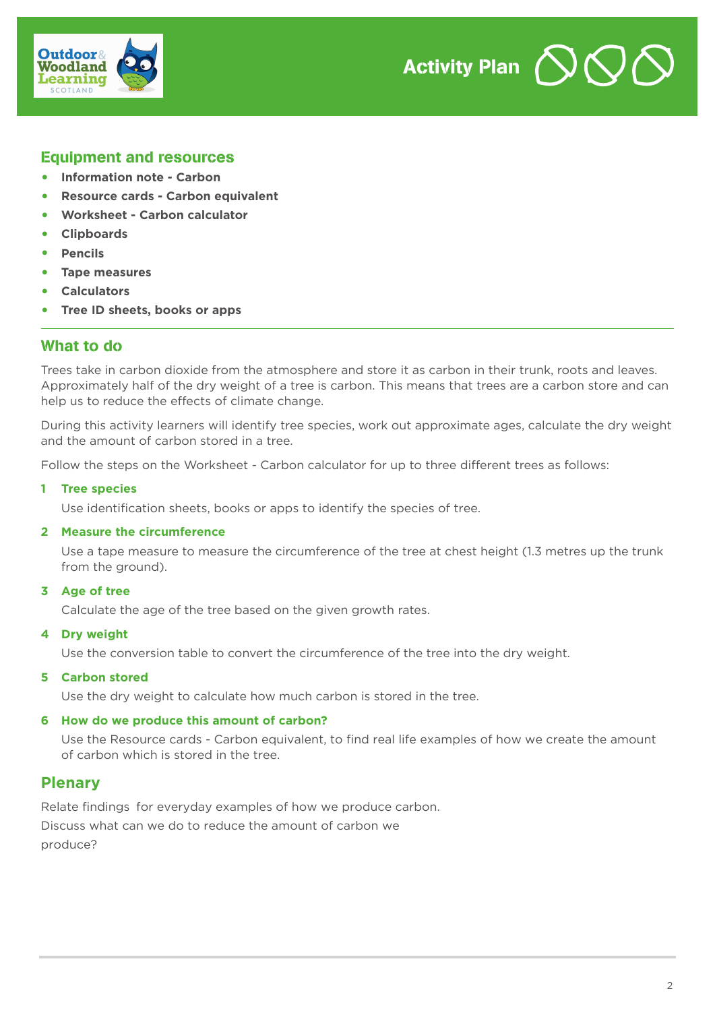



# Equipment and resources

- **• Information note Carbon**
- **• Resource cards Carbon equivalent**
- **• Worksheet Carbon calculator**
- **• Clipboards**
- **• Pencils**
- **• Tape measures**
- **• Calculators**
- **• Tree ID sheets, books or apps**

## What to do

Trees take in carbon dioxide from the atmosphere and store it as carbon in their trunk, roots and leaves. Approximately half of the dry weight of a tree is carbon. This means that trees are a carbon store and can help us to reduce the effects of climate change.

During this activity learners will identify tree species, work out approximate ages, calculate the dry weight and the amount of carbon stored in a tree.

Follow the steps on the Worksheet - Carbon calculator for up to three different trees as follows:

#### **1 Tree species**

Use identification sheets, books or apps to identify the species of tree.

#### **2 Measure the circumference**

Use a tape measure to measure the circumference of the tree at chest height (1.3 metres up the trunk from the ground).

#### **3 Age of tree**

Calculate the age of the tree based on the given growth rates.

#### **4 Dry weight**

Use the conversion table to convert the circumference of the tree into the dry weight.

#### **5 Carbon stored**

Use the dry weight to calculate how much carbon is stored in the tree.

#### **6 How do we produce this amount of carbon?**

Use the Resource cards - Carbon equivalent, to find real life examples of how we create the amount of carbon which is stored in the tree.

# **Plenary**

Relate findings for everyday examples of how we produce carbon.

Discuss what can we do to reduce the amount of carbon we produce?